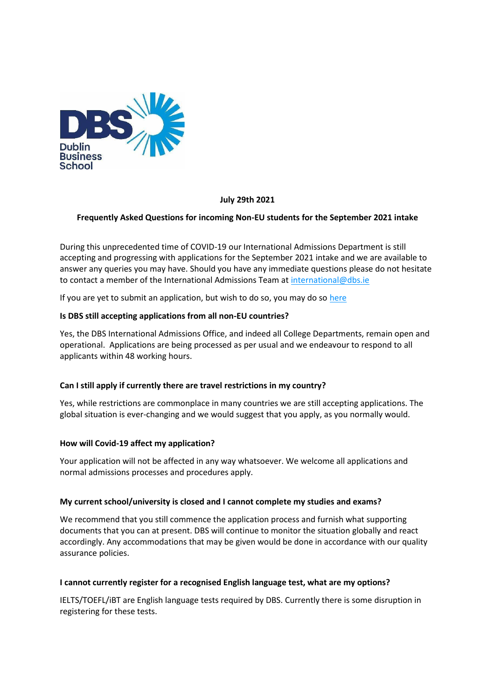

## **July 29th 2021**

## **Frequently Asked Questions for incoming Non-EU students for the September 2021 intake**

During this unprecedented time of COVID-19 our International Admissions Department is still accepting and progressing with applications for the September 2021 intake and we are available to answer any queries you may have. Should you have any immediate questions please do not hesitate to contact a member of the International Admissions Team at [international@dbs.ie](mailto:international@dbs.ie)

If you are yet to submit an application, but wish to do so, you may do so [here](https://www.dbs.ie/application-form)

## **Is DBS still accepting applications from all non-EU countries?**

Yes, the DBS International Admissions Office, and indeed all College Departments, remain open and operational. Applications are being processed as per usual and we endeavour to respond to all applicants within 48 working hours.

### **Can I still apply if currently there are travel restrictions in my country?**

Yes, while restrictions are commonplace in many countries we are still accepting applications. The global situation is ever-changing and we would suggest that you apply, as you normally would.

### **How will Covid-19 affect my application?**

Your application will not be affected in any way whatsoever. We welcome all applications and normal admissions processes and procedures apply.

### **My current school/university is closed and I cannot complete my studies and exams?**

We recommend that you still commence the application process and furnish what supporting documents that you can at present. DBS will continue to monitor the situation globally and react accordingly. Any accommodations that may be given would be done in accordance with our quality assurance policies.

### **I cannot currently register for a recognised English language test, what are my options?**

IELTS/TOEFL/iBT are English language tests required by DBS. Currently there is some disruption in registering for these tests.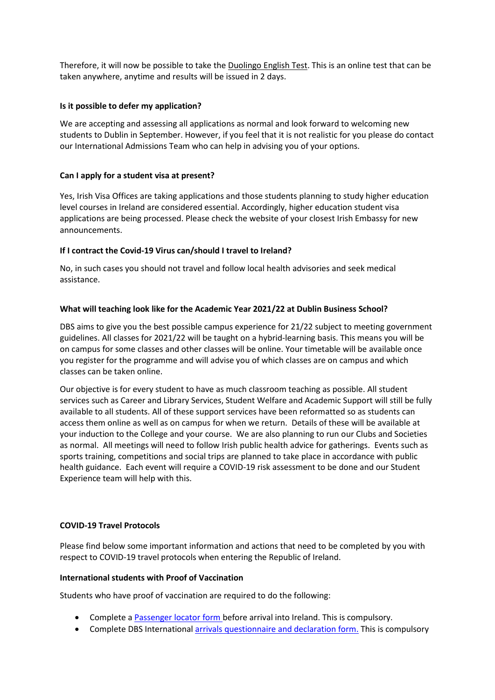Therefore, it will now be possible to take the [Duolingo English Test.](https://englishtest.duolingo.com/) This is an online test that can be taken anywhere, anytime and results will be issued in 2 days.

## **Is it possible to defer my application?**

We are accepting and assessing all applications as normal and look forward to welcoming new students to Dublin in September. However, if you feel that it is not realistic for you please do contact our International Admissions Team who can help in advising you of your options.

## **Can I apply for a student visa at present?**

Yes, Irish Visa Offices are taking applications and those students planning to study higher education level courses in Ireland are considered essential. Accordingly, higher education student visa applications are being processed. Please check the website of your closest Irish Embassy for new announcements.

## **If I contract the Covid-19 Virus can/should I travel to Ireland?**

No, in such cases you should not travel and follow local health advisories and seek medical assistance.

## **What will teaching look like for the Academic Year 2021/22 at Dublin Business School?**

DBS aims to give you the best possible campus experience for 21/22 subject to meeting government guidelines. All classes for 2021/22 will be taught on a hybrid-learning basis. This means you will be on campus for some classes and other classes will be online. Your timetable will be available once you register for the programme and will advise you of which classes are on campus and which classes can be taken online.

Our objective is for every student to have as much classroom teaching as possible. All student services such as Career and Library Services, Student Welfare and Academic Support will still be fully available to all students. All of these support services have been reformatted so as students can access them online as well as on campus for when we return. Details of these will be available at your induction to the College and your course. We are also planning to run our Clubs and Societies as normal. All meetings will need to follow Irish public health advice for gatherings. Events such as sports training, competitions and social trips are planned to take place in accordance with public health guidance. Each event will require a COVID-19 risk assessment to be done and our Student Experience team will help with this.

# **COVID-19 Travel Protocols**

Please find below some important information and actions that need to be completed by you with respect to COVID-19 travel protocols when entering the Republic of Ireland.

### **International students with Proof of Vaccination**

Students who have proof of vaccination are required to do the following:

- Complete a Passenger [locator form](https://www.gov.ie/en/publication/ab900-covid-19-passenger-locator-form/) before arrival into Ireland. This is compulsory.
- Complete DBS International [arrivals questionnaire and declaration](https://docs.google.com/forms/d/e/1FAIpQLSd7Pj8kyjNt0cFJc7qpcwoB6niGkbmBZaYyf8p6X9mr9Vl3_w/viewform) form. This is compulsory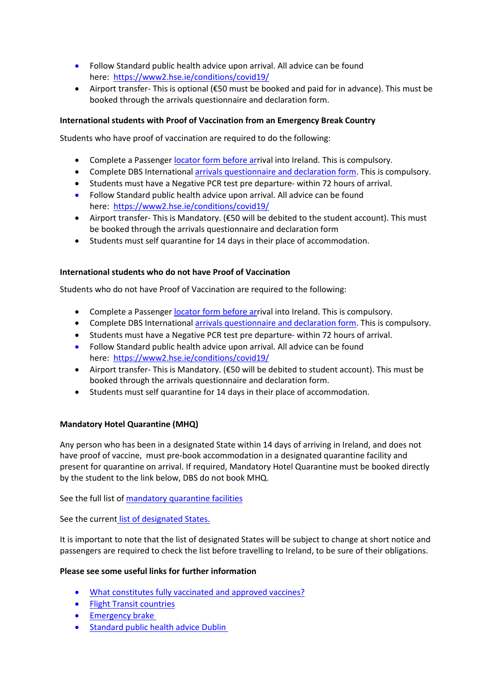- Follow Standard public health advice upon arrival. All advice can be found here:<https://www2.hse.ie/conditions/covid19/>
- Airport transfer- This is optional (€50 must be booked and paid for in advance). This must be booked through the arrivals questionnaire and declaration form.

# **International students with Proof of Vaccination from an Emergency Break Country**

Students who have proof of vaccination are required to do the following:

- Complete a Passenger [locator form](https://www.gov.ie/en/publication/ab900-covid-19-passenger-locator-form/) before arrival into Ireland. This is compulsory.
- Complete DBS International [arrivals questionnaire and declaration](https://docs.google.com/forms/d/e/1FAIpQLSd7Pj8kyjNt0cFJc7qpcwoB6niGkbmBZaYyf8p6X9mr9Vl3_w/viewform) form. This is compulsory.
- Students must have a Negative PCR test pre departure- within 72 hours of arrival.
- Follow Standard public health advice upon arrival. All advice can be found here:<https://www2.hse.ie/conditions/covid19/>
- Airport transfer- This is Mandatory. (€50 will be debited to the student account). This must be booked through the arrivals questionnaire and declaration form
- Students must self quarantine for 14 days in their place of accommodation.

# **International students who do not have Proof of Vaccination**

Students who do not have Proof of Vaccination are required to the following:

- Complete a Passenger [locator form](https://www.gov.ie/en/publication/ab900-covid-19-passenger-locator-form/) before arrival into Ireland. This is compulsory.
- Complete DBS International [arrivals questionnaire and declaration](https://docs.google.com/forms/d/e/1FAIpQLSd7Pj8kyjNt0cFJc7qpcwoB6niGkbmBZaYyf8p6X9mr9Vl3_w/viewform) form. This is compulsory.
- Students must have a Negative PCR test pre departure- within 72 hours of arrival.
- Follow Standard public health advice upon arrival. All advice can be found here:<https://www2.hse.ie/conditions/covid19/>
- Airport transfer- This is Mandatory. (€50 will be debited to student account). This must be booked through the arrivals questionnaire and declaration form.
- Students must self quarantine for 14 days in their place of accommodation.

# **Mandatory Hotel Quarantine (MHQ)**

Any person who has been in a designated State within 14 days of arriving in Ireland, and does not have proof of vaccine, must pre-book accommodation in a designated quarantine facility and present for quarantine on arrival. If required, Mandatory Hotel Quarantine must be booked directly by the student to the link below, DBS do not book MHQ.

See the full list of [mandatory quarantine facilities](https://www.gov.ie/en/publication/3e5d8-designated-facilities-for-mandatory-hotel-quarantine/)

See the current [list of designated States.](https://www.gov.ie/en/publication/b4020-travelling-to-ireland-during-the-covid-19-pandemic/#designated-states-mandatory-hotel-quarantine)

It is important to note that the list of designated States will be subject to change at short notice and passengers are required to check the list before travelling to Ireland, to be sure of their obligations.

# **Please see some useful links for further information**

- [What constitutes fully vaccinated](https://www.citizensinformation.ie/en/health/health_services/vaccinations/vaccines_for_covid19.html#l60b6f) and approved vaccines?
- [Flight Transit countries](https://www.gov.ie/en/publication/b4020-travelling-to-ireland-during-the-covid-19-pandemic/#designated-states-mandatory-hotel-quarantine)
- **[Emergency brake](https://www.dfa.ie/irish-embassy/usa/news-and-events/covid19-updates/)**
- **•** [Standard public health advice Dublin](https://www2.hse.ie/conditions/covid19/testing/walk-in-test-centres/)